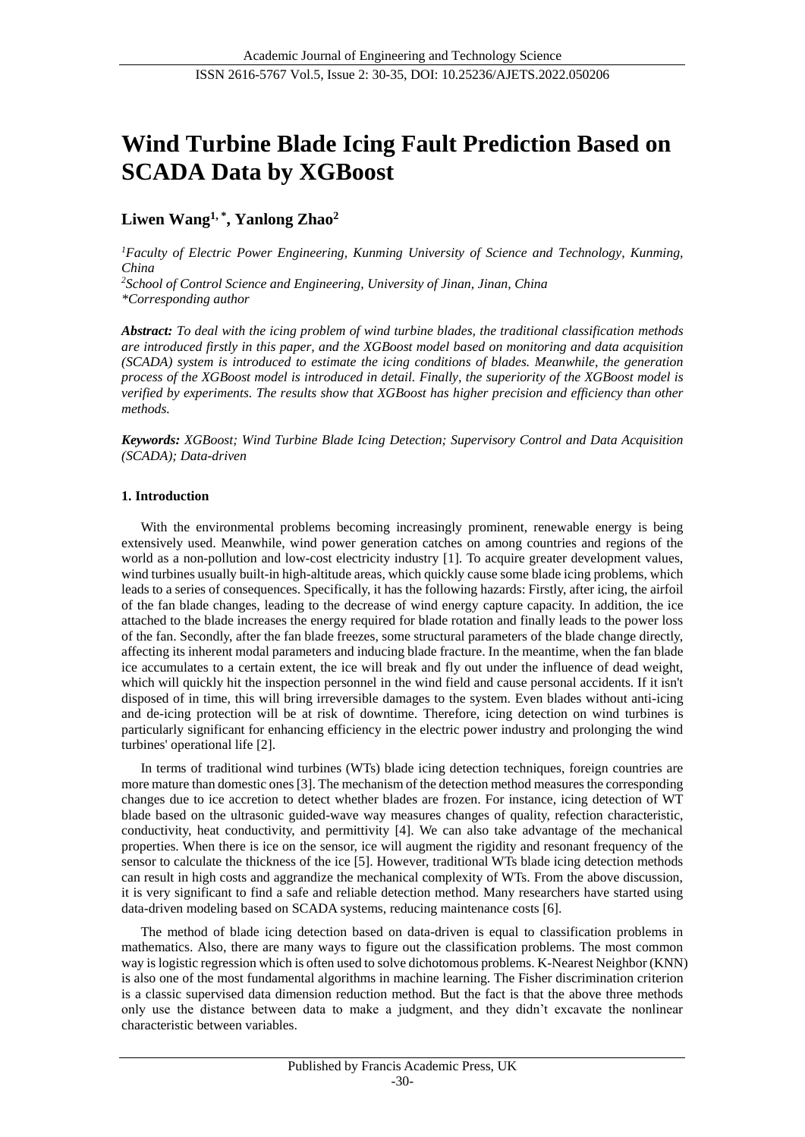# **Wind Turbine Blade Icing Fault Prediction Based on SCADA Data by XGBoost**

# **Liwen Wang1, \* , Yanlong Zhao<sup>2</sup>**

*<sup>1</sup>Faculty of Electric Power Engineering, Kunming University of Science and Technology, Kunming, China*

*<sup>2</sup>School of Control Science and Engineering, University of Jinan, Jinan, China \*Corresponding author*

*Abstract: To deal with the icing problem of wind turbine blades, the traditional classification methods are introduced firstly in this paper, and the XGBoost model based on monitoring and data acquisition (SCADA) system is introduced to estimate the icing conditions of blades. Meanwhile, the generation process of the XGBoost model is introduced in detail. Finally, the superiority of the XGBoost model is verified by experiments. The results show that XGBoost has higher precision and efficiency than other methods.*

*Keywords: XGBoost; Wind Turbine Blade Icing Detection; Supervisory Control and Data Acquisition (SCADA); Data-driven*

# **1. Introduction**

With the environmental problems becoming increasingly prominent, renewable energy is being extensively used. Meanwhile, wind power generation catches on among countries and regions of the world as a non-pollution and low-cost electricity industry [1]. To acquire greater development values, wind turbines usually built-in high-altitude areas, which quickly cause some blade icing problems, which leads to a series of consequences. Specifically, it has the following hazards: Firstly, after icing, the airfoil of the fan blade changes, leading to the decrease of wind energy capture capacity. In addition, the ice attached to the blade increases the energy required for blade rotation and finally leads to the power loss of the fan. Secondly, after the fan blade freezes, some structural parameters of the blade change directly, affecting its inherent modal parameters and inducing blade fracture. In the meantime, when the fan blade ice accumulates to a certain extent, the ice will break and fly out under the influence of dead weight, which will quickly hit the inspection personnel in the wind field and cause personal accidents. If it isn't disposed of in time, this will bring irreversible damages to the system. Even blades without anti-icing and de-icing protection will be at risk of downtime. Therefore, icing detection on wind turbines is particularly significant for enhancing efficiency in the electric power industry and prolonging the wind turbines' operational life [2].

In terms of traditional wind turbines (WTs) blade icing detection techniques, foreign countries are more mature than domestic ones [3]. The mechanism of the detection method measures the corresponding changes due to ice accretion to detect whether blades are frozen. For instance, icing detection of WT blade based on the ultrasonic guided-wave way measures changes of quality, refection characteristic, conductivity, heat conductivity, and permittivity [4]. We can also take advantage of the mechanical properties. When there is ice on the sensor, ice will augment the rigidity and resonant frequency of the sensor to calculate the thickness of the ice [5]. However, traditional WTs blade icing detection methods can result in high costs and aggrandize the mechanical complexity of WTs. From the above discussion, it is very significant to find a safe and reliable detection method. Many researchers have started using data-driven modeling based on SCADA systems, reducing maintenance costs [6].

The method of blade icing detection based on data-driven is equal to classification problems in mathematics. Also, there are many ways to figure out the classification problems. The most common way is logistic regression which is often used to solve dichotomous problems. K-Nearest Neighbor (KNN) is also one of the most fundamental algorithms in machine learning. The Fisher discrimination criterion is a classic supervised data dimension reduction method. But the fact is that the above three methods only use the distance between data to make a judgment, and they didn't excavate the nonlinear characteristic between variables.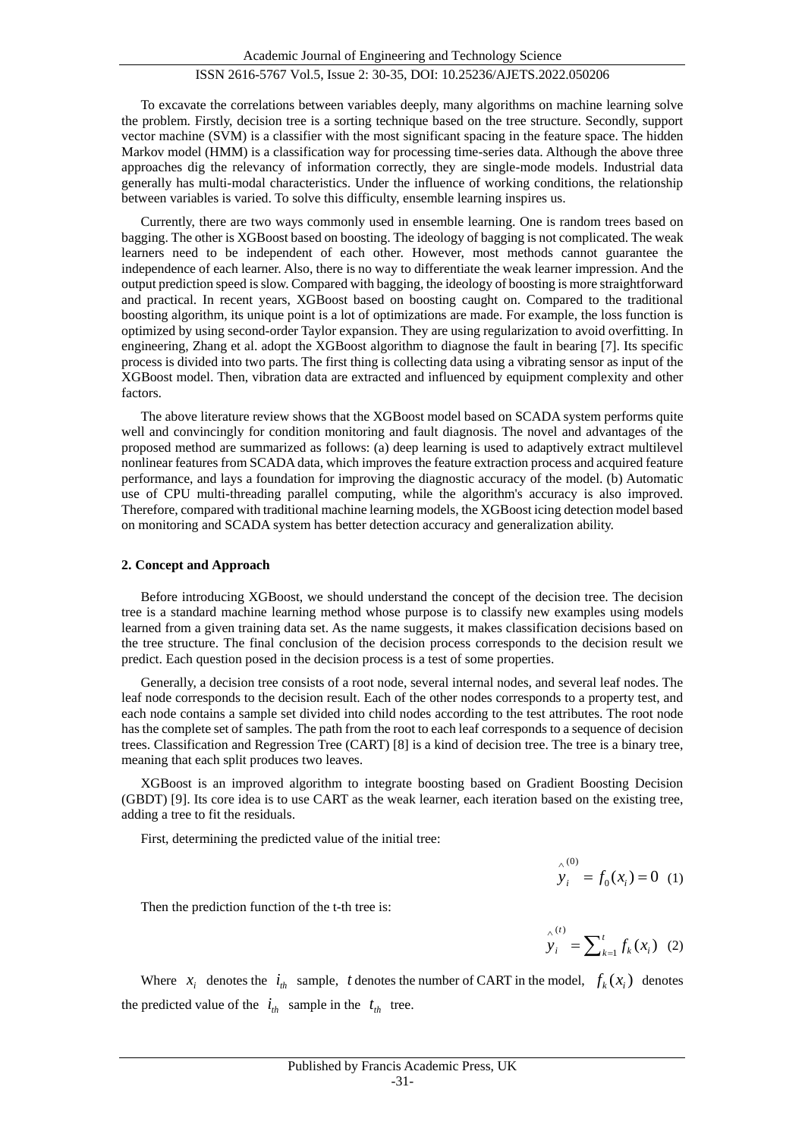To excavate the correlations between variables deeply, many algorithms on machine learning solve the problem. Firstly, decision tree is a sorting technique based on the tree structure. Secondly, support vector machine (SVM) is a classifier with the most significant spacing in the feature space. The hidden Markov model (HMM) is a classification way for processing time-series data. Although the above three approaches dig the relevancy of information correctly, they are single-mode models. Industrial data generally has multi-modal characteristics. Under the influence of working conditions, the relationship between variables is varied. To solve this difficulty, ensemble learning inspires us.

Currently, there are two ways commonly used in ensemble learning. One is random trees based on bagging. The other is XGBoost based on boosting. The ideology of bagging is not complicated. The weak learners need to be independent of each other. However, most methods cannot guarantee the independence of each learner. Also, there is no way to differentiate the weak learner impression. And the output prediction speed is slow. Compared with bagging, the ideology of boosting is more straightforward and practical. In recent years, XGBoost based on boosting caught on. Compared to the traditional boosting algorithm, its unique point is a lot of optimizations are made. For example, the loss function is optimized by using second-order Taylor expansion. They are using regularization to avoid overfitting. In engineering, Zhang et al. adopt the XGBoost algorithm to diagnose the fault in bearing [7]. Its specific process is divided into two parts. The first thing is collecting data using a vibrating sensor as input of the XGBoost model. Then, vibration data are extracted and influenced by equipment complexity and other factors.

The above literature review shows that the XGBoost model based on SCADA system performs quite well and convincingly for condition monitoring and fault diagnosis. The novel and advantages of the proposed method are summarized as follows: (a) deep learning is used to adaptively extract multilevel nonlinear features from SCADA data, which improves the feature extraction process and acquired feature performance, and lays a foundation for improving the diagnostic accuracy of the model. (b) Automatic use of CPU multi-threading parallel computing, while the algorithm's accuracy is also improved. Therefore, compared with traditional machine learning models, the XGBoost icing detection model based on monitoring and SCADA system has better detection accuracy and generalization ability.

#### **2. Concept and Approach**

Before introducing XGBoost, we should understand the concept of the decision tree. The decision tree is a standard machine learning method whose purpose is to classify new examples using models learned from a given training data set. As the name suggests, it makes classification decisions based on the tree structure. The final conclusion of the decision process corresponds to the decision result we predict. Each question posed in the decision process is a test of some properties.

Generally, a decision tree consists of a root node, several internal nodes, and several leaf nodes. The leaf node corresponds to the decision result. Each of the other nodes corresponds to a property test, and each node contains a sample set divided into child nodes according to the test attributes. The root node has the complete set of samples. The path from the root to each leaf corresponds to a sequence of decision trees. Classification and Regression Tree (CART) [8] is a kind of decision tree. The tree is a binary tree, meaning that each split produces two leaves.

XGBoost is an improved algorithm to integrate boosting based on Gradient Boosting Decision (GBDT) [9]. Its core idea is to use CART as the weak learner, each iteration based on the existing tree, adding a tree to fit the residuals.

First, determining the predicted value of the initial tree:

$$
y_i^{(0)} = f_0(x_i) = 0
$$
 (1)

Then the prediction function of the t-th tree is:

$$
\hat{y}_i^{(t)} = \sum_{k=1}^t f_k(x_i) \quad (2)
$$

Where  $x_i$  denotes the  $i_{th}$  sample, t denotes the number of CART in the model,  $f_k(x_i)$  denotes the predicted value of the  $i_{th}$  sample in the  $t_{th}$  tree.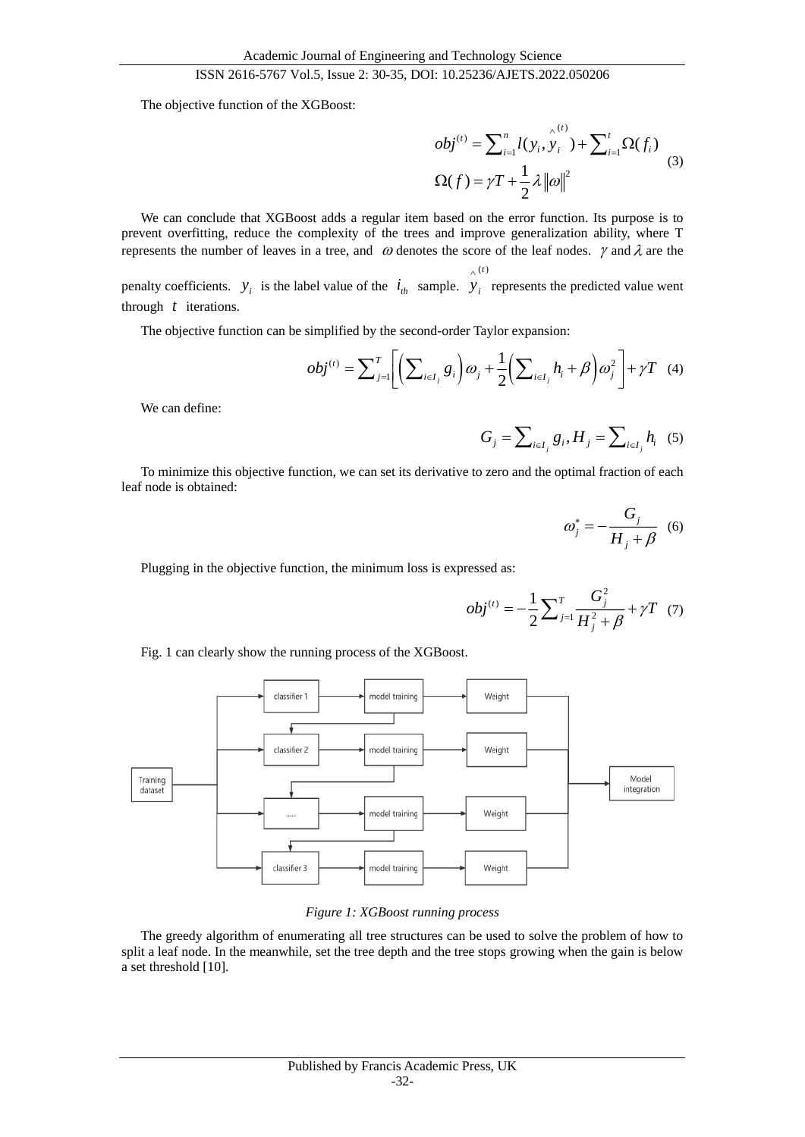The objective function of the XGBoost:

$$
obj^{(t)} = \sum_{i=1}^{n} l(y_i, y_i^{(t)}) + \sum_{i=1}^{t} \Omega(f_i)
$$
  

$$
\Omega(f) = \gamma T + \frac{1}{2} \lambda ||\omega||^2
$$
 (3)

We can conclude that XGBoost adds a regular item based on the error function. Its purpose is to prevent overfitting, reduce the complexity of the trees and improve generalization ability, where T represents the number of leaves in a tree, and  $\omega$  denotes the score of the leaf nodes.  $\gamma$  and  $\lambda$  are the

penalty coefficients.  $y_i$  is the label value of the  $i_{th}$  sample.  $y_i$  represents the predicted value went through  $t$  iterations.

The objective function can be simplified by the second-order Taylor expansion:

$$
obj^{(t)} = \sum_{j=1}^{T} \Biggl[ \Biggl( \sum_{i \in I_j} g_i \Biggr) \omega_j + \frac{1}{2} \Biggl( \sum_{i \in I_j} h_i + \beta \Biggr) \omega_j^2 \Biggr] + \gamma T \quad (4)
$$

 $\wedge^{(t)}$ 

We can define:

$$
G_j = \sum_{i \in I_j} g_i, H_j = \sum_{i \in I_j} h_i \quad (5)
$$

To minimize this objective function, we can set its derivative to zero and the optimal fraction of each leaf node is obtained:

$$
\omega_j^* = -\frac{G_j}{H_j + \beta} \quad (6)
$$

Plugging in the objective function, the minimum loss is expressed as:

$$
obj^{(t)} = -\frac{1}{2} \sum_{j=1}^{T} \frac{G_j^2}{H_j^2 + \beta} + \gamma T \quad (7)
$$

Fig. 1 can clearly show the running process of the XGBoost.



#### *Figure 1: XGBoost running process*

The greedy algorithm of enumerating all tree structures can be used to solve the problem of how to split a leaf node. In the meanwhile, set the tree depth and the tree stops growing when the gain is below a set threshold [10].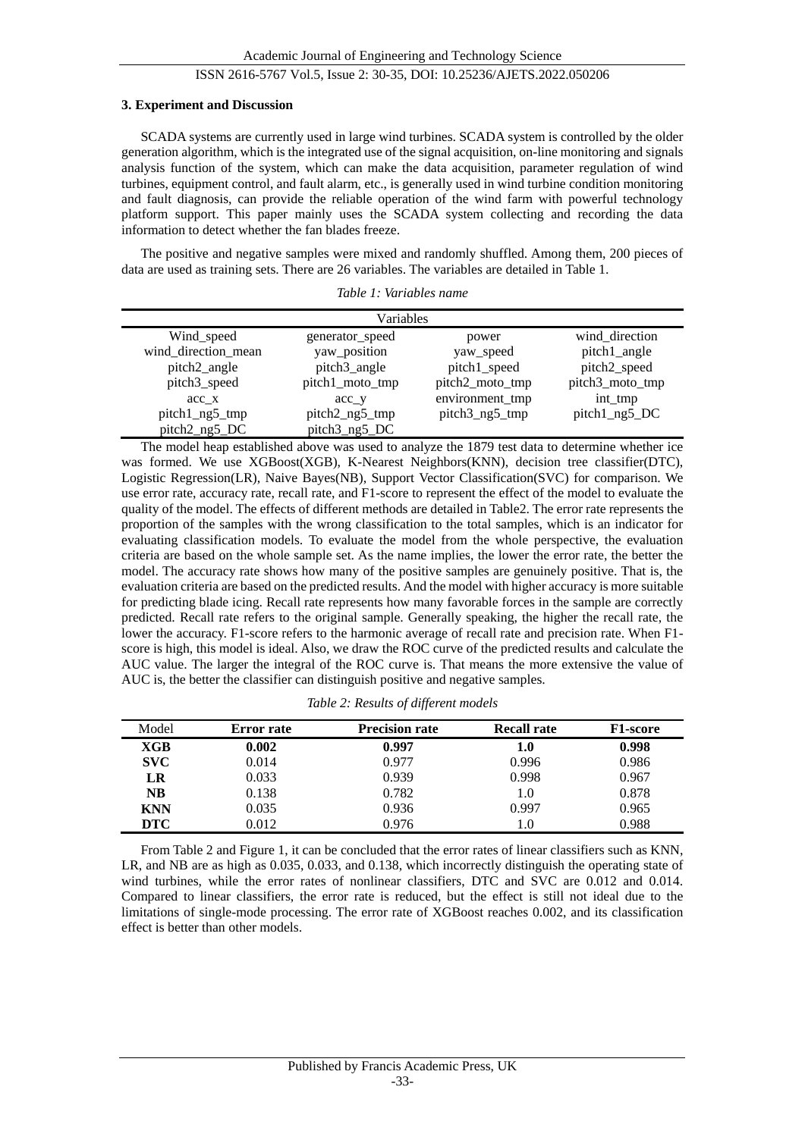#### **3. Experiment and Discussion**

SCADA systems are currently used in large wind turbines. SCADA system is controlled by the older generation algorithm, which is the integrated use of the signal acquisition, on-line monitoring and signals analysis function of the system, which can make the data acquisition, parameter regulation of wind turbines, equipment control, and fault alarm, etc., is generally used in wind turbine condition monitoring and fault diagnosis, can provide the reliable operation of the wind farm with powerful technology platform support. This paper mainly uses the SCADA system collecting and recording the data information to detect whether the fan blades freeze.

The positive and negative samples were mixed and randomly shuffled. Among them, 200 pieces of data are used as training sets. There are 26 variables. The variables are detailed in Table 1.

*Table 1: Variables name*

| Variables           |                 |                 |                 |  |  |  |
|---------------------|-----------------|-----------------|-----------------|--|--|--|
| Wind_speed          | generator_speed | power           | wind_direction  |  |  |  |
| wind_direction_mean | yaw_position    | yaw_speed       | pitch1_angle    |  |  |  |
| pitch2_angle        | pitch3_angle    | pitch1_speed    | pitch2_speed    |  |  |  |
| pitch3_speed        | pitch1_moto_tmp | pitch2_moto_tmp | pitch3_moto_tmp |  |  |  |
| acc x               | acc y           | environment_tmp | int_tmp         |  |  |  |
| pitch1_ng5_tmp      | pitch2_ng5_tmp  | pitch3_ng5_tmp  | pitch1_ng5_DC   |  |  |  |
| pitch2_ng5_DC       | pitch3_ng5_DC   |                 |                 |  |  |  |

The model heap established above was used to analyze the 1879 test data to determine whether ice was formed. We use XGBoost(XGB), K-Nearest Neighbors(KNN), decision tree classifier(DTC), Logistic Regression(LR), Naive Bayes(NB), Support Vector Classification(SVC) for comparison. We use error rate, accuracy rate, recall rate, and F1-score to represent the effect of the model to evaluate the quality of the model. The effects of different methods are detailed in Table2. The error rate represents the proportion of the samples with the wrong classification to the total samples, which is an indicator for evaluating classification models. To evaluate the model from the whole perspective, the evaluation criteria are based on the whole sample set. As the name implies, the lower the error rate, the better the model. The accuracy rate shows how many of the positive samples are genuinely positive. That is, the evaluation criteria are based on the predicted results. And the model with higher accuracy is more suitable for predicting blade icing. Recall rate represents how many favorable forces in the sample are correctly predicted. Recall rate refers to the original sample. Generally speaking, the higher the recall rate, the lower the accuracy. F1-score refers to the harmonic average of recall rate and precision rate. When F1 score is high, this model is ideal. Also, we draw the ROC curve of the predicted results and calculate the AUC value. The larger the integral of the ROC curve is. That means the more extensive the value of AUC is, the better the classifier can distinguish positive and negative samples.

| Model      | <b>Error</b> rate | <b>Precision rate</b> | <b>Recall rate</b> | <b>F1-score</b> |
|------------|-------------------|-----------------------|--------------------|-----------------|
| XGB        | 0.002             | 0.997                 | ${\bf 1.0}$        | 0.998           |
| <b>SVC</b> | 0.014             | 0.977                 | 0.996              | 0.986           |
| LR         | 0.033             | 0.939                 | 0.998              | 0.967           |
| <b>NB</b>  | 0.138             | 0.782                 | 1.0                | 0.878           |
| <b>KNN</b> | 0.035             | 0.936                 | 0.997              | 0.965           |
| <b>DTC</b> | 0.012             | 0.976                 | l.O                | 0.988           |

*Table 2: Results of different models*

From Table 2 and Figure 1, it can be concluded that the error rates of linear classifiers such as KNN, LR, and NB are as high as 0.035, 0.033, and 0.138, which incorrectly distinguish the operating state of wind turbines, while the error rates of nonlinear classifiers, DTC and SVC are 0.012 and 0.014. Compared to linear classifiers, the error rate is reduced, but the effect is still not ideal due to the limitations of single-mode processing. The error rate of XGBoost reaches 0.002, and its classification effect is better than other models.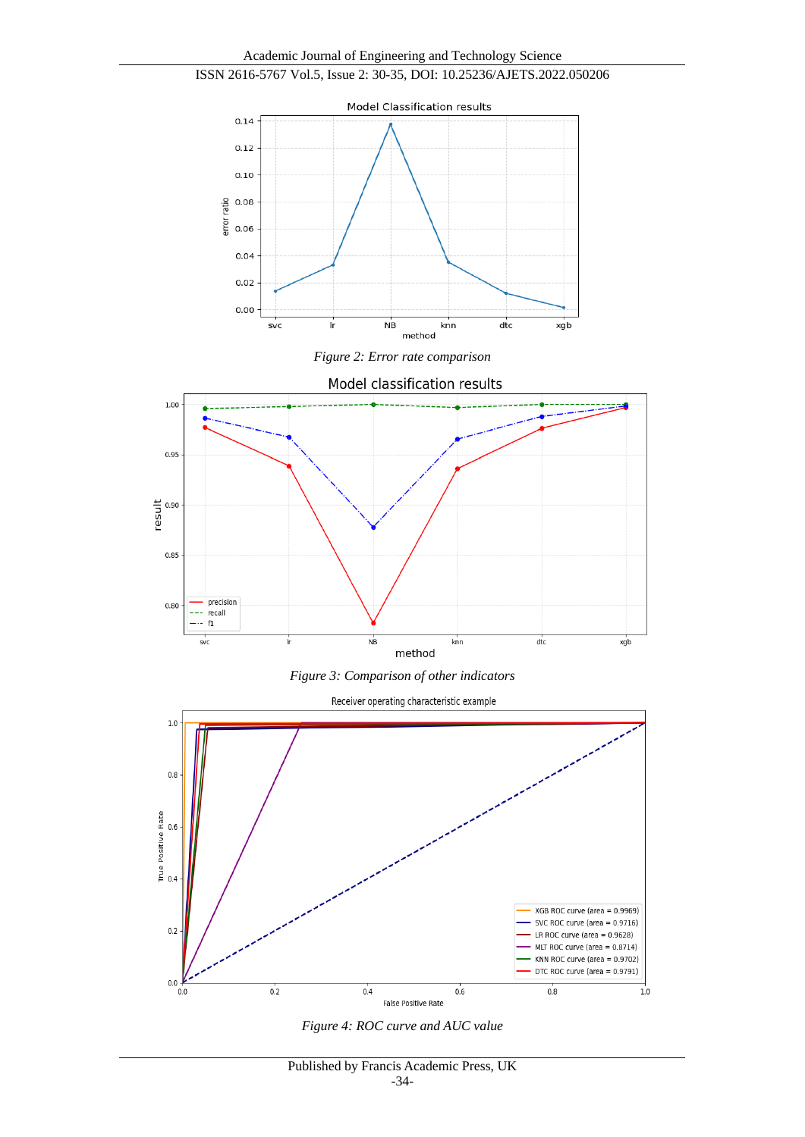









Receiver operating characteristic example



*Figure 4: ROC curve and AUC value*